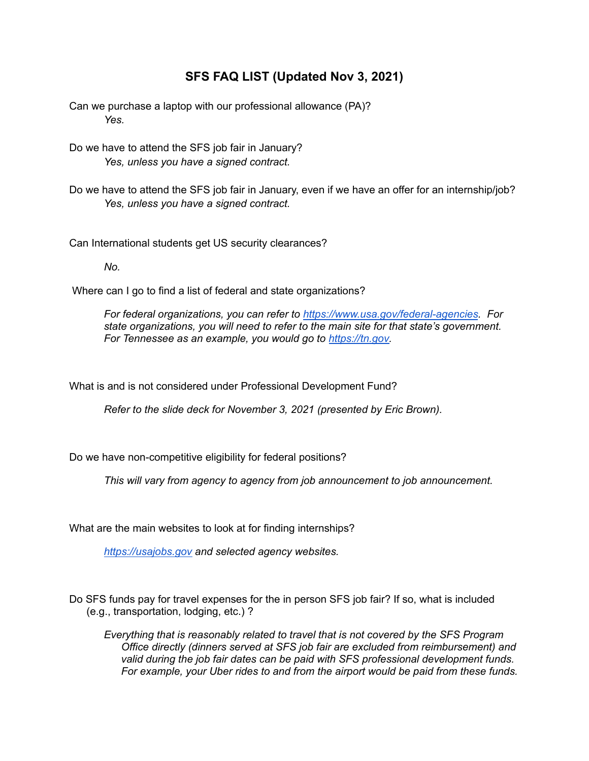## **SFS FAQ LIST (Updated Nov 3, 2021)**

Can we purchase a laptop with our professional allowance (PA)? *Yes.*

Do we have to attend the SFS job fair in January? *Yes, unless you have a signed contract.*

Do we have to attend the SFS job fair in January, even if we have an offer for an internship/job? *Yes, unless you have a signed contract.*

Can International students get US security clearances?

*No.*

Where can I go to find a list of federal and state organizations?

*For federal organizations, you can refer to <https://www.usa.gov/federal-agencies>. For state organizations, you will need to refer to the main site for that state's government. For Tennessee as an example, you would go to [https://tn.gov.](https://tn.gov/)*

What is and is not considered under Professional Development Fund?

*Refer to the slide deck for November 3, 2021 (presented by Eric Brown).*

Do we have non-competitive eligibility for federal positions?

*This will vary from agency to agency from job announcement to job announcement.*

What are the main websites to look at for finding internships?

*[https://usajobs.gov](https://usajobs.gov/) and selected agency websites.*

Do SFS funds pay for travel expenses for the in person SFS job fair? If so, what is included (e.g., transportation, lodging, etc.) ?

*Everything that is reasonably related to travel that is not covered by the SFS Program Office directly (dinners served at SFS job fair are excluded from reimbursement) and valid during the job fair dates can be paid with SFS professional development funds. For example, your Uber rides to and from the airport would be paid from these funds.*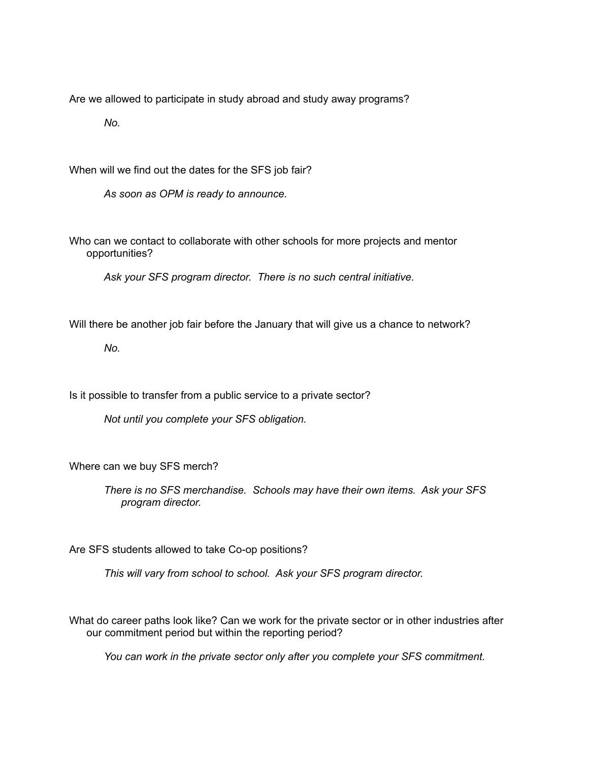Are we allowed to participate in study abroad and study away programs?

*No.*

When will we find out the dates for the SFS job fair?

*As soon as OPM is ready to announce.*

Who can we contact to collaborate with other schools for more projects and mentor opportunities?

*Ask your SFS program director. There is no such central initiative.*

Will there be another job fair before the January that will give us a chance to network?

*No.*

Is it possible to transfer from a public service to a private sector?

*Not until you complete your SFS obligation.*

Where can we buy SFS merch?

*There is no SFS merchandise. Schools may have their own items. Ask your SFS program director.*

Are SFS students allowed to take Co-op positions?

*This will vary from school to school. Ask your SFS program director.*

What do career paths look like? Can we work for the private sector or in other industries after our commitment period but within the reporting period?

*You can work in the private sector only after you complete your SFS commitment.*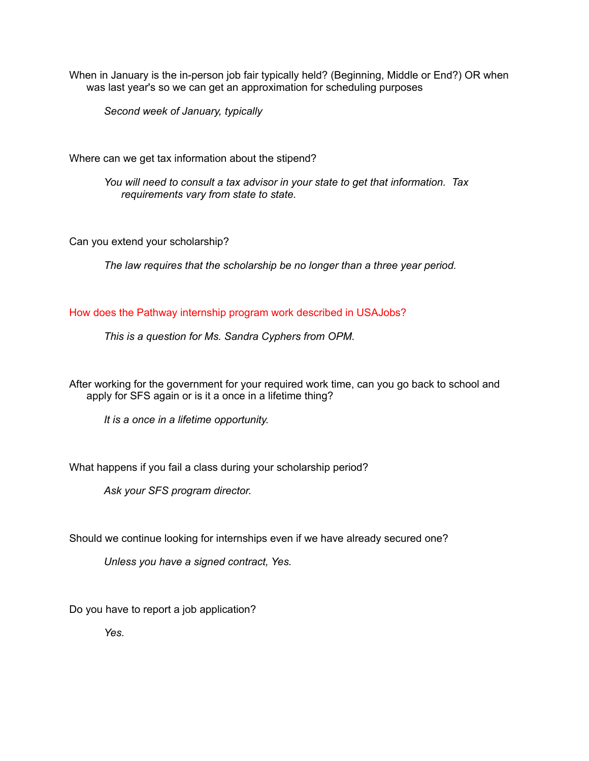When in January is the in-person job fair typically held? (Beginning, Middle or End?) OR when was last year's so we can get an approximation for scheduling purposes

*Second week of January, typically*

Where can we get tax information about the stipend?

*You will need to consult a tax advisor in your state to get that information. Tax requirements vary from state to state.*

Can you extend your scholarship?

*The law requires that the scholarship be no longer than a three year period.*

How does the Pathway internship program work described in USAJobs?

*This is a question for Ms. Sandra Cyphers from OPM.*

After working for the government for your required work time, can you go back to school and apply for SFS again or is it a once in a lifetime thing?

*It is a once in a lifetime opportunity.*

What happens if you fail a class during your scholarship period?

*Ask your SFS program director.*

Should we continue looking for internships even if we have already secured one?

*Unless you have a signed contract, Yes.*

Do you have to report a job application?

*Yes.*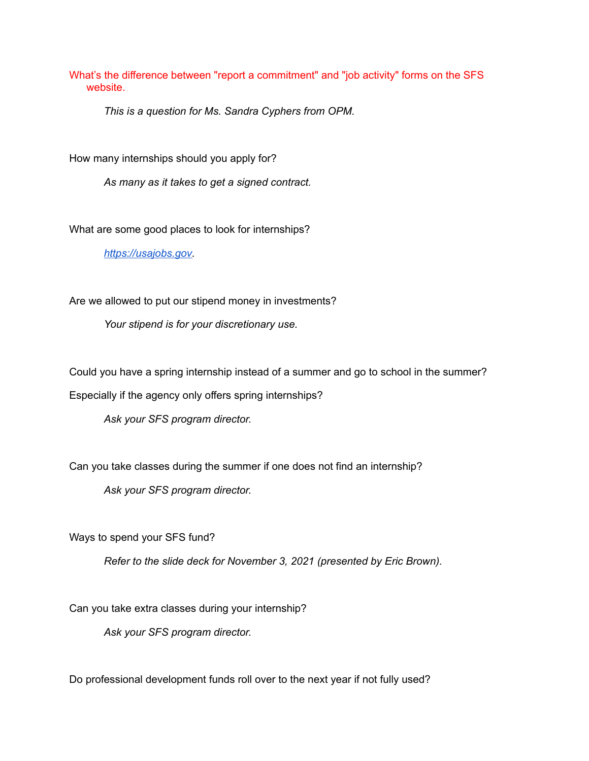What's the difference between "report a commitment" and "job activity" forms on the SFS website.

*This is a question for Ms. Sandra Cyphers from OPM.*

How many internships should you apply for?

*As many as it takes to get a signed contract.*

What are some good places to look for internships?

*[https://usajobs.gov.](https://usajobs.gov/)*

Are we allowed to put our stipend money in investments?

*Your stipend is for your discretionary use.*

Could you have a spring internship instead of a summer and go to school in the summer?

Especially if the agency only offers spring internships?

*Ask your SFS program director.*

Can you take classes during the summer if one does not find an internship?

*Ask your SFS program director.*

Ways to spend your SFS fund?

*Refer to the slide deck for November 3, 2021 (presented by Eric Brown).*

Can you take extra classes during your internship?

*Ask your SFS program director.*

Do professional development funds roll over to the next year if not fully used?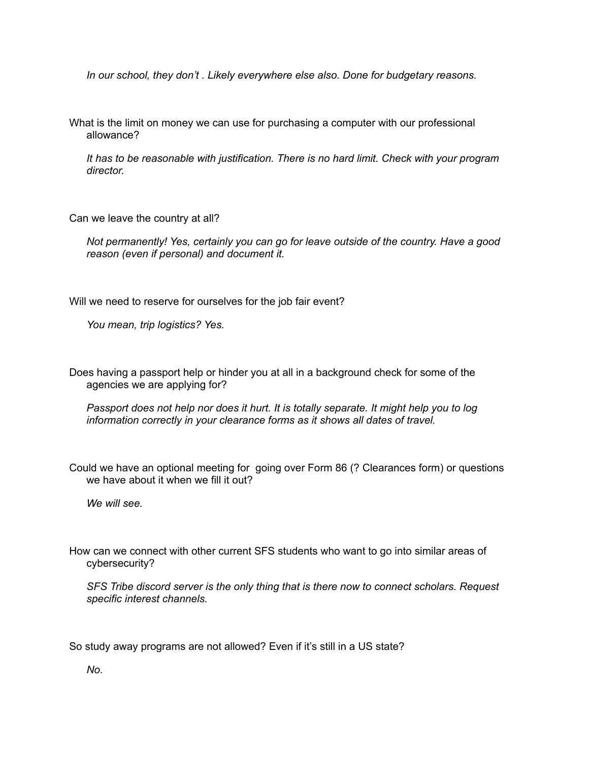*In our school, they don't . Likely everywhere else also. Done for budgetary reasons.*

What is the limit on money we can use for purchasing a computer with our professional allowance?

*It has to be reasonable with justification. There is no hard limit. Check with your program director.*

Can we leave the country at all?

*Not permanently! Yes, certainly you can go for leave outside of the country. Have a good reason (even if personal) and document it.*

Will we need to reserve for ourselves for the job fair event?

*You mean, trip logistics? Yes.*

Does having a passport help or hinder you at all in a background check for some of the agencies we are applying for?

*Passport does not help nor does it hurt. It is totally separate. It might help you to log information correctly in your clearance forms as it shows all dates of travel.*

Could we have an optional meeting for going over Form 86 (? Clearances form) or questions we have about it when we fill it out?

*We will see.*

How can we connect with other current SFS students who want to go into similar areas of cybersecurity?

*SFS Tribe discord server is the only thing that is there now to connect scholars. Request specific interest channels.*

So study away programs are not allowed? Even if it's still in a US state?

*No.*